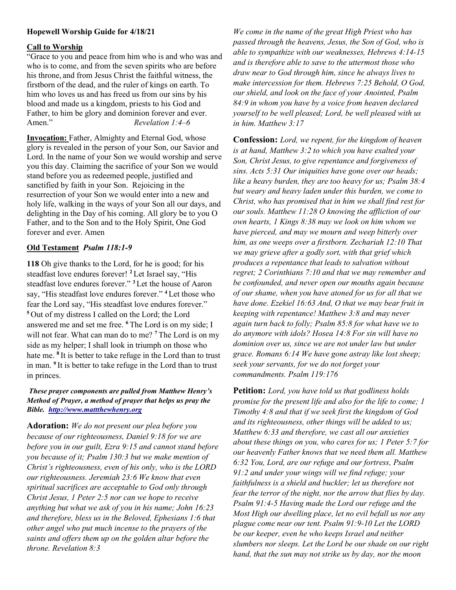# Hopewell Worship Guide for 4/18/21

### Call to Worship

"Grace to you and peace from him who is and who was and who is to come, and from the seven spirits who are before his throne, and from Jesus Christ the faithful witness, the firstborn of the dead, and the ruler of kings on earth. To him who loves us and has freed us from our sins by his blood and made us a kingdom, priests to his God and Father, to him be glory and dominion forever and ever. Amen." Revelation 1:4–6

Invocation: Father, Almighty and Eternal God, whose glory is revealed in the person of your Son, our Savior and Lord. In the name of your Son we would worship and serve you this day. Claiming the sacrifice of your Son we would stand before you as redeemed people, justified and sanctified by faith in your Son. Rejoicing in the resurrection of your Son we would enter into a new and holy life, walking in the ways of your Son all our days, and delighting in the Day of his coming. All glory be to you O Father, and to the Son and to the Holy Spirit, One God forever and ever. Amen

## Old Testament Psalm 118:1-9

118 Oh give thanks to the Lord, for he is good; for his steadfast love endures forever! <sup>2</sup> Let Israel say, "His steadfast love endures forever." <sup>3</sup>Let the house of Aaron say, "His steadfast love endures forever." <sup>4</sup>Let those who fear the Lord say, "His steadfast love endures forever." <sup>5</sup>Out of my distress I called on the Lord; the Lord answered me and set me free. <sup>6</sup>The Lord is on my side; I will not fear. What can man do to me? <sup>7</sup> The Lord is on my side as my helper; I shall look in triumph on those who hate me. <sup>8</sup>It is better to take refuge in the Lord than to trust in man. <sup>9</sup> It is better to take refuge in the Lord than to trust in princes.

#### These prayer components are pulled from Matthew Henry's Method of Prayer, a method of prayer that helps us pray the Bible. http://www.mattthewhenry.org

Adoration: We do not present our plea before you because of our righteousness, Daniel 9:18 for we are before you in our guilt, Ezra 9:15 and cannot stand before you because of it; Psalm 130:3 but we make mention of Christ's righteousness, even of his only, who is the LORD our righteousness. Jeremiah 23:6 We know that even spiritual sacrifices are acceptable to God only through Christ Jesus, 1 Peter 2:5 nor can we hope to receive anything but what we ask of you in his name; John 16:23 and therefore, bless us in the Beloved, Ephesians 1:6 that other angel who put much incense to the prayers of the saints and offers them up on the golden altar before the throne. Revelation 8:3

We come in the name of the great High Priest who has passed through the heavens, Jesus, the Son of God, who is able to sympathize with our weaknesses, Hebrews 4:14-15 and is therefore able to save to the uttermost those who draw near to God through him, since he always lives to make intercession for them. Hebrews 7:25 Behold, O God, our shield, and look on the face of your Anointed, Psalm 84:9 in whom you have by a voice from heaven declared yourself to be well pleased; Lord, be well pleased with us in him. Matthew 3:17

Confession: Lord, we repent, for the kingdom of heaven is at hand, Matthew 3:2 to which you have exalted your Son, Christ Jesus, to give repentance and forgiveness of sins. Acts 5:31 Our iniquities have gone over our heads; like a heavy burden, they are too heavy for us; Psalm 38:4 but weary and heavy laden under this burden, we come to Christ, who has promised that in him we shall find rest for our souls. Matthew 11:28 O knowing the affliction of our own hearts, 1 Kings 8:38 may we look on him whom we have pierced, and may we mourn and weep bitterly over him, as one weeps over a firstborn. Zechariah 12:10 That we may grieve after a godly sort, with that grief which produces a repentance that leads to salvation without regret; 2 Corinthians 7:10 and that we may remember and be confounded, and never open our mouths again because of our shame, when you have atoned for us for all that we have done. Ezekiel 16:63 And, O that we may bear fruit in keeping with repentance! Matthew 3:8 and may never again turn back to folly; Psalm 85:8 for what have we to do anymore with idols? Hosea 14:8 For sin will have no dominion over us, since we are not under law but under grace. Romans 6:14 We have gone astray like lost sheep; seek your servants, for we do not forget your commandments. Psalm 119:176

**Petition:** Lord, you have told us that godliness holds promise for the present life and also for the life to come; 1 Timothy 4:8 and that if we seek first the kingdom of God and its righteousness, other things will be added to us; Matthew 6:33 and therefore, we cast all our anxieties about these things on you, who cares for us; 1 Peter 5:7 for our heavenly Father knows that we need them all. Matthew 6:32 You, Lord, are our refuge and our fortress, Psalm 91:2 and under your wings will we find refuge; your faithfulness is a shield and buckler; let us therefore not fear the terror of the night, nor the arrow that flies by day. Psalm 91:4-5 Having made the Lord our refuge and the Most High our dwelling place, let no evil befall us nor any plague come near our tent. Psalm 91:9-10 Let the LORD be our keeper, even he who keeps Israel and neither slumbers nor sleeps. Let the Lord be our shade on our right hand, that the sun may not strike us by day, nor the moon